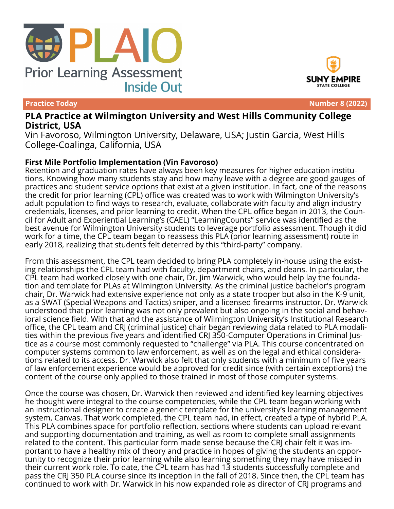



SUNY EMPIRE

**Practice Today Number 8 (2022)**

## **PLA Practice at Wilmington University and West Hills Community College District, USA**

Vin Favoroso, Wilmington University, Delaware, USA; Justin Garcia, West Hills College-Coalinga, California, USA

## **First Mile Portfolio Implementation (Vin Favoroso)**

Retention and graduation rates have always been key measures for higher education institutions. Knowing how many students stay and how many leave with a degree are good gauges of practices and student service options that exist at a given institution. In fact, one of the reasons the credit for prior learning (CPL) office was created was to work with Wilmington University's adult population to find ways to research, evaluate, collaborate with faculty and align industry credentials, licenses, and prior learning to credit. When the CPL office began in 2013, the Council for Adult and Experiential Learning's (CAEL) "LearningCounts" service was identified as the best avenue for Wilmington University students to leverage portfolio assessment. Though it did work for a time, the CPL team began to reassess this PLA (prior learning assessment) route in early 2018, realizing that students felt deterred by this "third-party" company.

From this assessment, the CPL team decided to bring PLA completely in-house using the existing relationships the CPL team had with faculty, department chairs, and deans. In particular, the CPL team had worked closely with one chair, Dr. Jim Warwick, who would help lay the foundation and template for PLAs at Wilmington University. As the criminal justice bachelor's program chair, Dr. Warwick had extensive experience not only as a state trooper but also in the K-9 unit, as a SWAT (Special Weapons and Tactics) sniper, and a licensed firearms instructor. Dr. Warwick understood that prior learning was not only prevalent but also ongoing in the social and behavioral science field. With that and the assistance of Wilmington University's Institutional Research office, the CPL team and CRJ (criminal justice) chair began reviewing data related to PLA modalities within the previous five years and identified CRJ 350-Computer Operations in Criminal Justice as a course most commonly requested to "challenge" via PLA. This course concentrated on computer systems common to law enforcement, as well as on the legal and ethical considerations related to its access. Dr. Warwick also felt that only students with a minimum of five years of law enforcement experience would be approved for credit since (with certain exceptions) the content of the course only applied to those trained in most of those computer systems.

Once the course was chosen, Dr. Warwick then reviewed and identified key learning objectives he thought were integral to the course competencies, while the CPL team began working with an instructional designer to create a generic template for the university's learning management system, Canvas. That work completed, the CPL team had, in effect, created a type of hybrid PLA. This PLA combines space for portfolio reflection, sections where students can upload relevant and supporting documentation and training, as well as room to complete small assignments related to the content. This particular form made sense because the CRJ chair felt it was important to have a healthy mix of theory and practice in hopes of giving the students an opportunity to recognize their prior learning while also learning something they may have missed in their current work role. To date, the CPL team has had 13 students successfully complete and pass the CRJ 350 PLA course since its inception in the fall of 2018. Since then, the CPL team has continued to work with Dr. Warwick in his now expanded role as director of CRJ programs and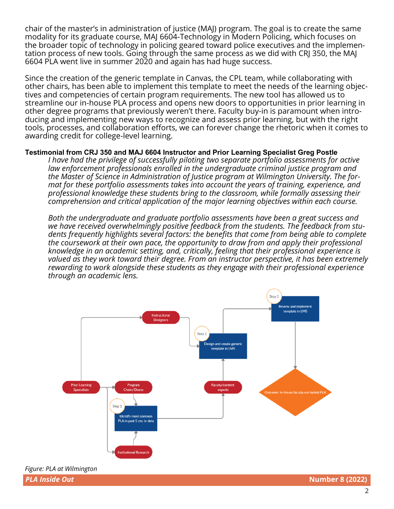chair of the master's in administration of justice (MAJ) program. The goal is to create the same modality for its graduate course, MAJ 6604-Technology in Modern Policing, which focuses on the broader topic of technology in policing geared toward police executives and the implementation process of new tools. Going through the same process as we did with CRJ 350, the MAJ 6604 PLA went live in summer 2020 and again has had huge success.

Since the creation of the generic template in Canvas, the CPL team, while collaborating with other chairs, has been able to implement this template to meet the needs of the learning objectives and competencies of certain program requirements. The new tool has allowed us to streamline our in-house PLA process and opens new doors to opportunities in prior learning in other degree programs that previously weren't there. Faculty buy-in is paramount when introducing and implementing new ways to recognize and assess prior learning, but with the right tools, processes, and collaboration efforts, we can forever change the rhetoric when it comes to awarding credit for college-level learning.

## **Testimonial from CRJ 350 and MAJ 6604 Instructor and Prior Learning Specialist Greg Postle**

*I have had the privilege of successfully piloting two separate portfolio assessments for active law enforcement professionals enrolled in the undergraduate criminal justice program and the Master of Science in Administration of Justice program at Wilmington University. The format for these portfolio assessments takes into account the years of training, experience, and professional knowledge these students bring to the classroom, while formally assessing their comprehension and critical application of the major learning objectives within each course.*

*Both the undergraduate and graduate portfolio assessments have been a great success and we have received overwhelmingly positive feedback from the students. The feedback from students frequently highlights several factors: the benefits that come from being able to complete the coursework at their own pace, the opportunity to draw from and apply their professional knowledge in an academic setting, and, critically, feeling that their professional experience is valued as they work toward their degree. From an instructor perspective, it has been extremely rewarding to work alongside these students as they engage with their professional experience through an academic lens.*

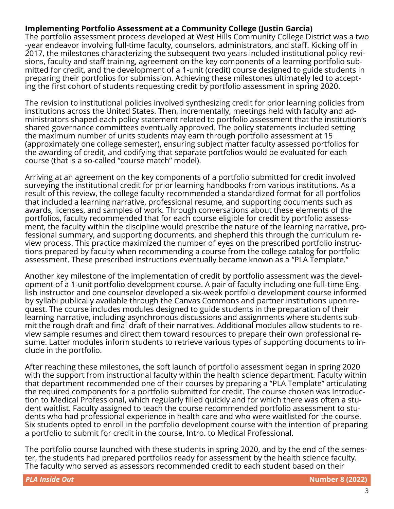## **Implementing Portfolio Assessment at a Community College (Justin Garcia)**

The portfolio assessment process developed at West Hills Community College District was a two -year endeavor involving full-time faculty, counselors, administrators, and staff. Kicking off in 2017, the milestones characterizing the subsequent two years included institutional policy revisions, faculty and staff training, agreement on the key components of a learning portfolio submitted for credit, and the development of a 1-unit (credit) course designed to guide students in preparing their portfolios for submission. Achieving these milestones ultimately led to accepting the first cohort of students requesting credit by portfolio assessment in spring 2020.

The revision to institutional policies involved synthesizing credit for prior learning policies from institutions across the United States. Then, incrementally, meetings held with faculty and administrators shaped each policy statement related to portfolio assessment that the institution's shared governance committees eventually approved. The policy statements included setting the maximum number of units students may earn through portfolio assessment at 15 (approximately one college semester), ensuring subject matter faculty assessed portfolios for the awarding of credit, and codifying that separate portfolios would be evaluated for each course (that is a so-called "course match" model).

Arriving at an agreement on the key components of a portfolio submitted for credit involved surveying the institutional credit for prior learning handbooks from various institutions. As a result of this review, the college faculty recommended a standardized format for all portfolios that included a learning narrative, professional resume, and supporting documents such as awards, licenses, and samples of work. Through conversations about these elements of the portfolios, faculty recommended that for each course eligible for credit by portfolio assessment, the faculty within the discipline would prescribe the nature of the learning narrative, professional summary, and supporting documents, and shepherd this through the curriculum review process. This practice maximized the number of eyes on the prescribed portfolio instructions prepared by faculty when recommending a course from the college catalog for portfolio assessment. These prescribed instructions eventually became known as a "PLA Template."

Another key milestone of the implementation of credit by portfolio assessment was the development of a 1-unit portfolio development course. A pair of faculty including one full-time English instructor and one counselor developed a six-week portfolio development course informed by syllabi publically available through the Canvas Commons and partner institutions upon request. The course includes modules designed to guide students in the preparation of their learning narrative, including asynchronous discussions and assignments where students submit the rough draft and final draft of their narratives. Additional modules allow students to review sample resumes and direct them toward resources to prepare their own professional resume. Latter modules inform students to retrieve various types of supporting documents to include in the portfolio.

After reaching these milestones, the soft launch of portfolio assessment began in spring 2020 with the support from instructional faculty within the health science department. Faculty within that department recommended one of their courses by preparing a "PLA Template" articulating the required components for a portfolio submitted for credit. The course chosen was Introduction to Medical Professional, which regularly filled quickly and for which there was often a student waitlist. Faculty assigned to teach the course recommended portfolio assessment to students who had professional experience in health care and who were waitlisted for the course. Six students opted to enroll in the portfolio development course with the intention of preparing a portfolio to submit for credit in the course, Intro. to Medical Professional.

The portfolio course launched with these students in spring 2020, and by the end of the semester, the students had prepared portfolios ready for assessment by the health science faculty. The faculty who served as assessors recommended credit to each student based on their